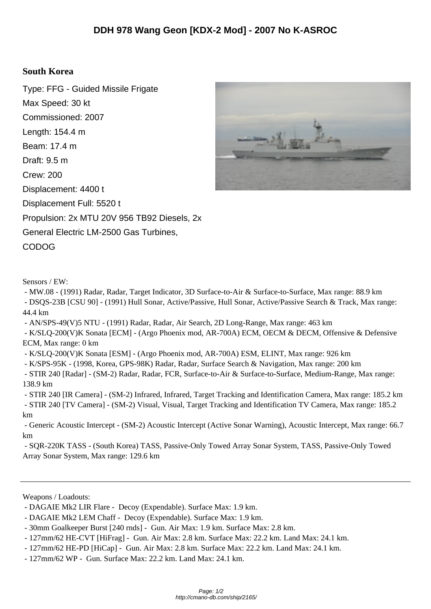## **South Korea**

Type: FFG - Guided Missile Frigate Max Speed: 30 kt Commissioned: 2007 Length: 154.4 m Beam: 17.4 m Draft: 9.5 m Crew: 200 Displacement: 4400 t Displacement Full: 5520 t Propulsion: 2x MTU 20V 956 TB92 Diesels, 2x General Electric LM-2500 Gas Turbines, CODOG

Sensors / EW:

 - MW.08 - (1991) Radar, Radar, Target Indicator, 3D Surface-to-Air & Surface-to-Surface, Max range: 88.9 km - DSQS-23B [CSU 90] - (1991) Hull Sonar, Active/Passive, Hull Sonar, Active/Passive Search & Track, Max range: 44.4 km

- AN/SPS-49(V)5 NTU - (1991) Radar, Radar, Air Search, 2D Long-Range, Max range: 463 km

 - K/SLQ-200(V)K Sonata [ECM] - (Argo Phoenix mod, AR-700A) ECM, OECM & DECM, Offensive & Defensive ECM, Max range: 0 km

- K/SLQ-200(V)K Sonata [ESM] - (Argo Phoenix mod, AR-700A) ESM, ELINT, Max range: 926 km

- K/SPS-95K - (1998, Korea, GPS-98K) Radar, Radar, Surface Search & Navigation, Max range: 200 km

 - STIR 240 [Radar] - (SM-2) Radar, Radar, FCR, Surface-to-Air & Surface-to-Surface, Medium-Range, Max range: 138.9 km

 - STIR 240 [IR Camera] - (SM-2) Infrared, Infrared, Target Tracking and Identification Camera, Max range: 185.2 km - STIR 240 [TV Camera] - (SM-2) Visual, Visual, Target Tracking and Identification TV Camera, Max range: 185.2 km

 - Generic Acoustic Intercept - (SM-2) Acoustic Intercept (Active Sonar Warning), Acoustic Intercept, Max range: 66.7 km

 - SQR-220K TASS - (South Korea) TASS, Passive-Only Towed Array Sonar System, TASS, Passive-Only Towed Array Sonar System, Max range: 129.6 km

Weapons / Loadouts:



 <sup>-</sup> DAGAIE Mk2 LIR Flare - Decoy (Expendable). Surface Max: 1.9 km.

 <sup>-</sup> DAGAIE Mk2 LEM Chaff - Decoy (Expendable). Surface Max: 1.9 km.

 <sup>- 30</sup>mm Goalkeeper Burst [240 rnds] - Gun. Air Max: 1.9 km. Surface Max: 2.8 km.

 <sup>- 127</sup>mm/62 HE-CVT [HiFrag] - Gun. Air Max: 2.8 km. Surface Max: 22.2 km. Land Max: 24.1 km.

 <sup>- 127</sup>mm/62 HE-PD [HiCap] - Gun. Air Max: 2.8 km. Surface Max: 22.2 km. Land Max: 24.1 km.

 <sup>- 127</sup>mm/62 WP - Gun. Surface Max: 22.2 km. Land Max: 24.1 km.